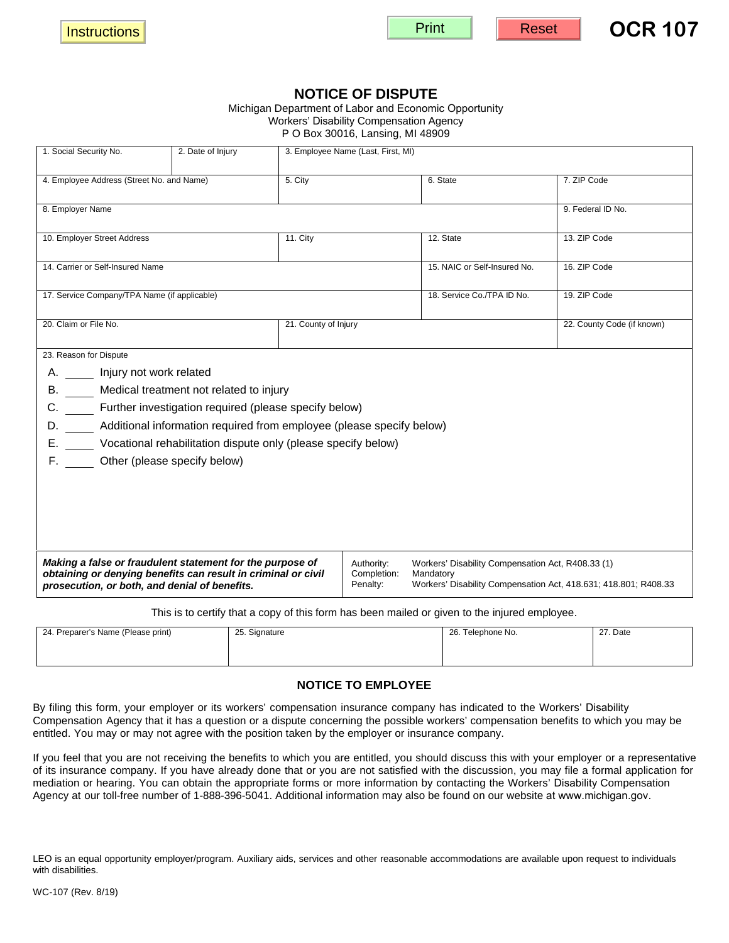| <b>Print</b> | <b>Reset</b> | <b>OCR 107</b> |
|--------------|--------------|----------------|
|              |              |                |

## **NOTICE OF DISPUTE**

## Michigan Department of Labor and Economic Opportunity Workers' Disability Compensation Agency

P O Box 30016, Lansing, MI 48909

| 1. Social Security No.                                                                                                                                                                                                                                                                                                                                             | 2. Date of Injury |                      | 3. Employee Name (Last, First, MI)    |                                                                                                                                   |                            |  |  |  |
|--------------------------------------------------------------------------------------------------------------------------------------------------------------------------------------------------------------------------------------------------------------------------------------------------------------------------------------------------------------------|-------------------|----------------------|---------------------------------------|-----------------------------------------------------------------------------------------------------------------------------------|----------------------------|--|--|--|
| 4. Employee Address (Street No. and Name)                                                                                                                                                                                                                                                                                                                          |                   | 5. City              |                                       | 6. State                                                                                                                          | 7. ZIP Code                |  |  |  |
| 8. Employer Name                                                                                                                                                                                                                                                                                                                                                   |                   |                      |                                       |                                                                                                                                   | 9. Federal ID No.          |  |  |  |
| 10. Employer Street Address                                                                                                                                                                                                                                                                                                                                        |                   | <b>11. City</b>      |                                       | 12. State                                                                                                                         | 13. ZIP Code               |  |  |  |
| 14. Carrier or Self-Insured Name                                                                                                                                                                                                                                                                                                                                   |                   |                      |                                       | 15. NAIC or Self-Insured No.                                                                                                      | 16. ZIP Code               |  |  |  |
| 17. Service Company/TPA Name (if applicable)                                                                                                                                                                                                                                                                                                                       |                   |                      |                                       | 18. Service Co./TPA ID No.                                                                                                        | 19. ZIP Code               |  |  |  |
| 20. Claim or File No.                                                                                                                                                                                                                                                                                                                                              |                   | 21. County of Injury |                                       |                                                                                                                                   | 22. County Code (if known) |  |  |  |
| 23. Reason for Dispute<br>Injury not work related<br>А.<br>Medical treatment not related to injury<br>В.<br>Further investigation required (please specify below)<br>C.<br>D. Additional information required from employee (please specify below)<br>E. Vocational rehabilitation dispute only (please specify below)<br>Other (please specify below)<br>F. Grand |                   |                      |                                       |                                                                                                                                   |                            |  |  |  |
| Making a false or fraudulent statement for the purpose of<br>obtaining or denying benefits can result in criminal or civil<br>prosecution, or both, and denial of benefits.                                                                                                                                                                                        |                   |                      | Authority:<br>Completion:<br>Penalty: | Workers' Disability Compensation Act, R408.33 (1)<br>Mandatory<br>Workers' Disability Compensation Act, 418.631; 418.801; R408.33 |                            |  |  |  |

This is to certify that a copy of this form has been mailed or given to the injured employee.

| 24. Preparer's Name (Please print) | 25. Signature | 26. Telephone No. | 27. Date |
|------------------------------------|---------------|-------------------|----------|
|                                    |               |                   |          |
|                                    |               |                   |          |

## **NOTICE TO EMPLOYEE**

By filing this form, your employer or its workers' compensation insurance company has indicated to the Workers' Disability Compensation Agency that it has a question or a dispute concerning the possible workers' compensation benefits to which you may be entitled. You may or may not agree with the position taken by the employer or insurance company.

If you feel that you are not receiving the benefits to which you are entitled, you should discuss this with your employer or a representative of its insurance company. If you have already done that or you are not satisfied with the discussion, you may file a formal application for mediation or hearing. You can obtain the appropriate forms or more information by contacting the Workers' Disability Compensation Agency at our toll-free number of 1-888-396-5041. Additional information may also be found on our website at www.michigan.gov.

LEO is an equal opportunity employer/program. Auxiliary aids, services and other reasonable accommodations are available upon request to individuals with disabilities.

**Instructions**